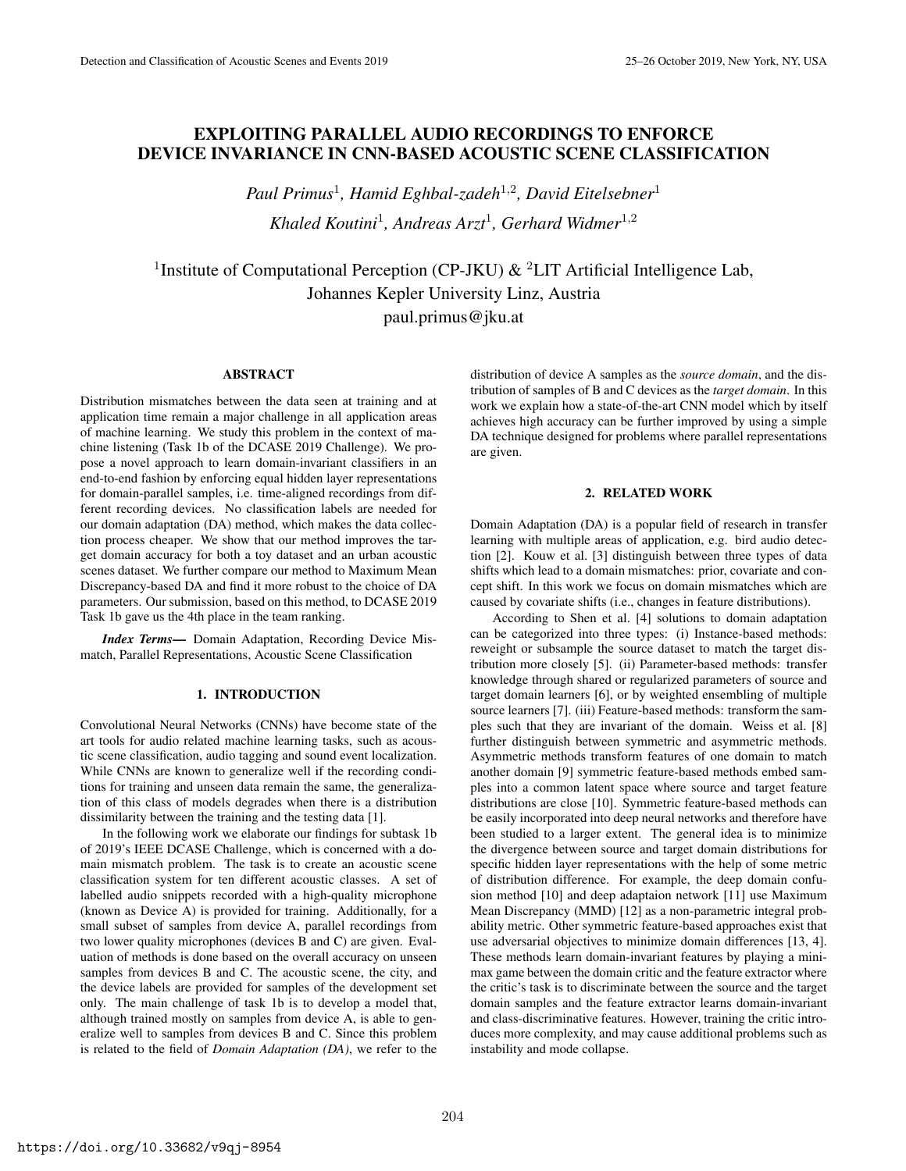# EXPLOITING PARALLEL AUDIO RECORDINGS TO ENFORCE DEVICE INVARIANCE IN CNN-BASED ACOUSTIC SCENE CLASSIFICATION

*Paul Primus*<sup>1</sup> *, Hamid Eghbal-zadeh*<sup>1</sup>,<sup>2</sup> *, David Eitelsebner*<sup>1</sup> *Khaled Koutini*<sup>1</sup> *, Andreas Arzt*<sup>1</sup> *, Gerhard Widmer*<sup>1</sup>,<sup>2</sup>

<sup>1</sup>Institute of Computational Perception (CP-JKU)  $\&$  <sup>2</sup>LIT Artificial Intelligence Lab, Johannes Kepler University Linz, Austria paul.primus@jku.at

## ABSTRACT

Distribution mismatches between the data seen at training and at application time remain a major challenge in all application areas of machine learning. We study this problem in the context of machine listening (Task 1b of the DCASE 2019 Challenge). We propose a novel approach to learn domain-invariant classifiers in an end-to-end fashion by enforcing equal hidden layer representations for domain-parallel samples, i.e. time-aligned recordings from different recording devices. No classification labels are needed for our domain adaptation (DA) method, which makes the data collection process cheaper. We show that our method improves the target domain accuracy for both a toy dataset and an urban acoustic scenes dataset. We further compare our method to Maximum Mean Discrepancy-based DA and find it more robust to the choice of DA parameters. Our submission, based on this method, to DCASE 2019 Task 1b gave us the 4th place in the team ranking.

*Index Terms*— Domain Adaptation, Recording Device Mismatch, Parallel Representations, Acoustic Scene Classification

#### 1. INTRODUCTION

Convolutional Neural Networks (CNNs) have become state of the art tools for audio related machine learning tasks, such as acoustic scene classification, audio tagging and sound event localization. While CNNs are known to generalize well if the recording conditions for training and unseen data remain the same, the generalization of this class of models degrades when there is a distribution dissimilarity between the training and the testing data [1].

In the following work we elaborate our findings for subtask 1b of 2019's IEEE DCASE Challenge, which is concerned with a domain mismatch problem. The task is to create an acoustic scene classification system for ten different acoustic classes. A set of labelled audio snippets recorded with a high-quality microphone (known as Device A) is provided for training. Additionally, for a small subset of samples from device A, parallel recordings from two lower quality microphones (devices B and C) are given. Evaluation of methods is done based on the overall accuracy on unseen samples from devices B and C. The acoustic scene, the city, and the device labels are provided for samples of the development set only. The main challenge of task 1b is to develop a model that, although trained mostly on samples from device A, is able to generalize well to samples from devices B and C. Since this problem is related to the field of *Domain Adaptation (DA)*, we refer to the distribution of device A samples as the *source domain*, and the distribution of samples of B and C devices as the *target domain*. In this work we explain how a state-of-the-art CNN model which by itself achieves high accuracy can be further improved by using a simple DA technique designed for problems where parallel representations are given.

# 2. RELATED WORK

Domain Adaptation (DA) is a popular field of research in transfer learning with multiple areas of application, e.g. bird audio detection [2]. Kouw et al. [3] distinguish between three types of data shifts which lead to a domain mismatches: prior, covariate and concept shift. In this work we focus on domain mismatches which are caused by covariate shifts (i.e., changes in feature distributions).

According to Shen et al. [4] solutions to domain adaptation can be categorized into three types: (i) Instance-based methods: reweight or subsample the source dataset to match the target distribution more closely [5]. (ii) Parameter-based methods: transfer knowledge through shared or regularized parameters of source and target domain learners [6], or by weighted ensembling of multiple source learners [7]. (iii) Feature-based methods: transform the samples such that they are invariant of the domain. Weiss et al. [8] further distinguish between symmetric and asymmetric methods. Asymmetric methods transform features of one domain to match another domain [9] symmetric feature-based methods embed samples into a common latent space where source and target feature distributions are close [10]. Symmetric feature-based methods can be easily incorporated into deep neural networks and therefore have been studied to a larger extent. The general idea is to minimize the divergence between source and target domain distributions for specific hidden layer representations with the help of some metric of distribution difference. For example, the deep domain confusion method [10] and deep adaptaion network [11] use Maximum Mean Discrepancy (MMD) [12] as a non-parametric integral probability metric. Other symmetric feature-based approaches exist that use adversarial objectives to minimize domain differences [13, 4]. These methods learn domain-invariant features by playing a minimax game between the domain critic and the feature extractor where the critic's task is to discriminate between the source and the target domain samples and the feature extractor learns domain-invariant and class-discriminative features. However, training the critic introduces more complexity, and may cause additional problems such as instability and mode collapse.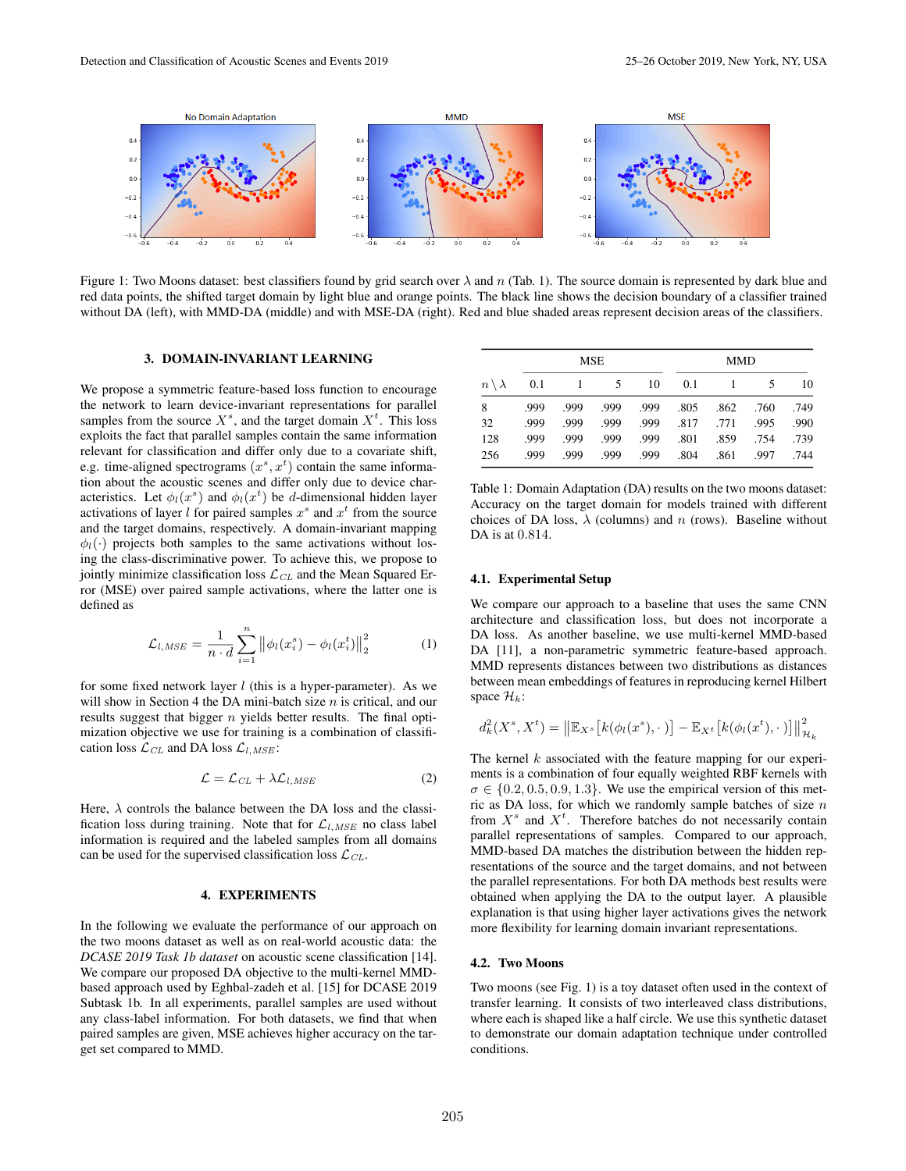

Figure 1: Two Moons dataset: best classifiers found by grid search over  $\lambda$  and n (Tab. 1). The source domain is represented by dark blue and red data points, the shifted target domain by light blue and orange points. The black line shows the decision boundary of a classifier trained without DA (left), with MMD-DA (middle) and with MSE-DA (right). Red and blue shaded areas represent decision areas of the classifiers.

## 3. DOMAIN-INVARIANT LEARNING

We propose a symmetric feature-based loss function to encourage the network to learn device-invariant representations for parallel samples from the source  $X^s$ , and the target domain  $X^t$ . This loss exploits the fact that parallel samples contain the same information relevant for classification and differ only due to a covariate shift, e.g. time-aligned spectrograms  $(x^s, x^t)$  contain the same information about the acoustic scenes and differ only due to device characteristics. Let  $\phi_l(x^s)$  and  $\phi_l(x^t)$  be *d*-dimensional hidden layer activations of layer  $l$  for paired samples  $x^s$  and  $x^t$  from the source and the target domains, respectively. A domain-invariant mapping  $\phi_l(\cdot)$  projects both samples to the same activations without losing the class-discriminative power. To achieve this, we propose to jointly minimize classification loss  $\mathcal{L}_{CL}$  and the Mean Squared Error (MSE) over paired sample activations, where the latter one is defined as

$$
\mathcal{L}_{l, MSE} = \frac{1}{n \cdot d} \sum_{i=1}^{n} ||\phi_l(x_i^s) - \phi_l(x_i^t)||_2^2
$$
 (1)

for some fixed network layer  $l$  (this is a hyper-parameter). As we will show in Section 4 the DA mini-batch size  $n$  is critical, and our results suggest that bigger *n* yields better results. The final optimization objective we use for training is a combination of classification loss  $\mathcal{L}_{CL}$  and DA loss  $\mathcal{L}_{l,MSE}$ :

$$
\mathcal{L} = \mathcal{L}_{CL} + \lambda \mathcal{L}_{l, MSE} \tag{2}
$$

Here,  $\lambda$  controls the balance between the DA loss and the classification loss during training. Note that for  $\mathcal{L}_{l,MSE}$  no class label information is required and the labeled samples from all domains can be used for the supervised classification loss  $\mathcal{L}_{CL}$ .

# 4. EXPERIMENTS

In the following we evaluate the performance of our approach on the two moons dataset as well as on real-world acoustic data: the *DCASE 2019 Task 1b dataset* on acoustic scene classification [14]. We compare our proposed DA objective to the multi-kernel MMDbased approach used by Eghbal-zadeh et al. [15] for DCASE 2019 Subtask 1b. In all experiments, parallel samples are used without any class-label information. For both datasets, we find that when paired samples are given, MSE achieves higher accuracy on the target set compared to MMD.

| $n \setminus \lambda$ | <b>MSE</b> |      |      |      | <b>MMD</b> |      |      |      |
|-----------------------|------------|------|------|------|------------|------|------|------|
|                       | 0.1        |      | 5.   | 10   | 0.1        |      | 5    | 10   |
| 8                     | .999       | .999 | .999 | .999 | .805       | .862 | .760 | .749 |
| 32                    | .999       | .999 | .999 | .999 | .817       | .771 | .995 | .990 |
| 128                   | .999       | .999 | .999 | .999 | .801       | .859 | .754 | .739 |
| 256                   | .999       | .999 | .999 | .999 | .804       | .861 | .997 | .744 |

Table 1: Domain Adaptation (DA) results on the two moons dataset: Accuracy on the target domain for models trained with different choices of DA loss,  $\lambda$  (columns) and n (rows). Baseline without DA is at 0.814

#### 4.1. Experimental Setup

We compare our approach to a baseline that uses the same CNN architecture and classification loss, but does not incorporate a DA loss. As another baseline, we use multi-kernel MMD-based DA [11], a non-parametric symmetric feature-based approach. MMD represents distances between two distributions as distances between mean embeddings of features in reproducing kernel Hilbert space  $\mathcal{H}_k$ :

$$
d_k^2(X^s, X^t) = \left\|\mathbb{E}_{X^s}\left[k(\phi_l(x^s), \cdot)\right] - \mathbb{E}_{X^t}\left[k(\phi_l(x^t), \cdot)\right]\right\|_{\mathcal{H}_k}^2
$$

The kernel  $k$  associated with the feature mapping for our experiments is a combination of four equally weighted RBF kernels with  $\sigma \in \{0.2, 0.5, 0.9, 1.3\}$ . We use the empirical version of this metric as DA loss, for which we randomly sample batches of size  $n$ from  $X^s$  and  $X^t$ . Therefore batches do not necessarily contain parallel representations of samples. Compared to our approach, MMD-based DA matches the distribution between the hidden representations of the source and the target domains, and not between the parallel representations. For both DA methods best results were obtained when applying the DA to the output layer. A plausible explanation is that using higher layer activations gives the network more flexibility for learning domain invariant representations.

#### 4.2. Two Moons

Two moons (see Fig. 1) is a toy dataset often used in the context of transfer learning. It consists of two interleaved class distributions, where each is shaped like a half circle. We use this synthetic dataset to demonstrate our domain adaptation technique under controlled conditions.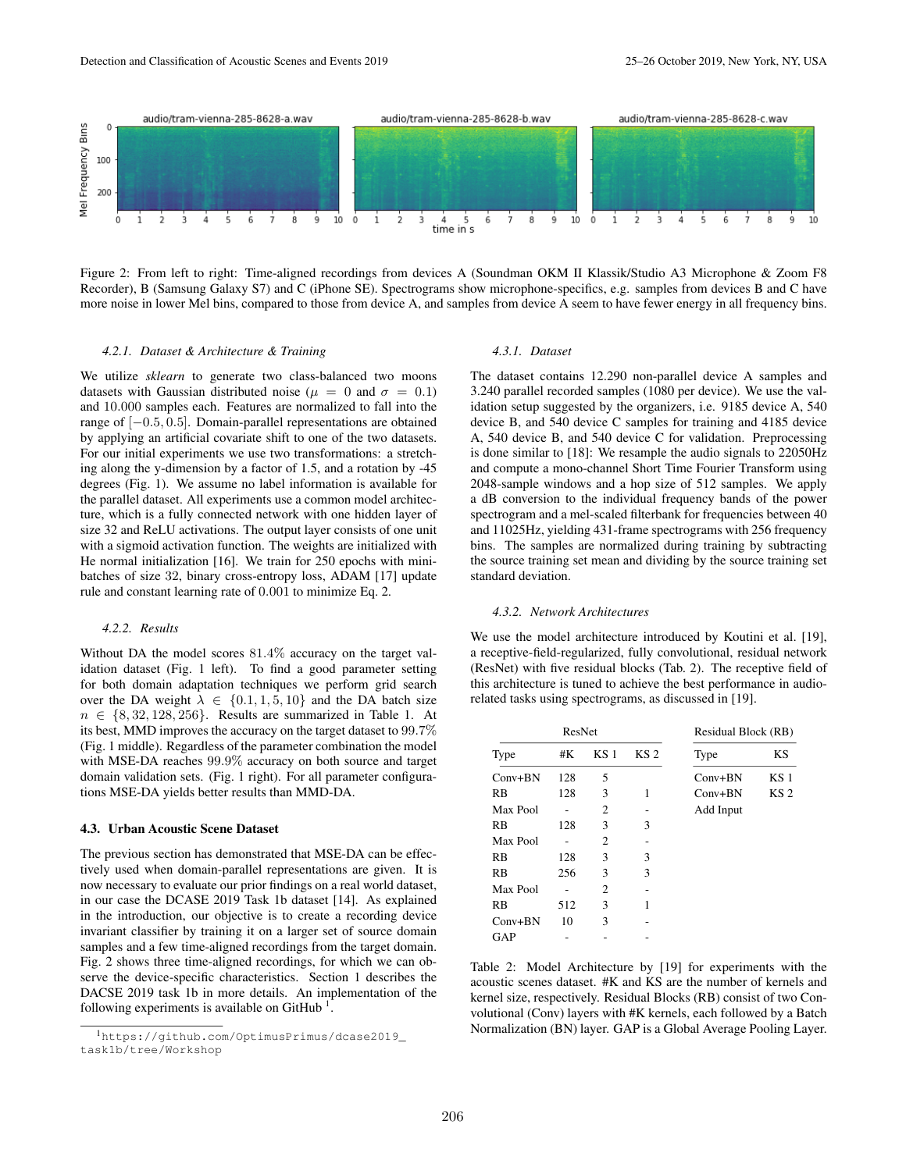

Figure 2: From left to right: Time-aligned recordings from devices A (Soundman OKM II Klassik/Studio A3 Microphone & Zoom F8 Recorder), B (Samsung Galaxy S7) and C (iPhone SE). Spectrograms show microphone-specifics, e.g. samples from devices B and C have more noise in lower Mel bins, compared to those from device A, and samples from device A seem to have fewer energy in all frequency bins.

#### *4.2.1. Dataset & Architecture & Training*

We utilize *sklearn* to generate two class-balanced two moons datasets with Gaussian distributed noise ( $\mu = 0$  and  $\sigma = 0.1$ ) and 10.000 samples each. Features are normalized to fall into the range of [−0.5, 0.5]. Domain-parallel representations are obtained by applying an artificial covariate shift to one of the two datasets. For our initial experiments we use two transformations: a stretching along the y-dimension by a factor of 1.5, and a rotation by -45 degrees (Fig. 1). We assume no label information is available for the parallel dataset. All experiments use a common model architecture, which is a fully connected network with one hidden layer of size 32 and ReLU activations. The output layer consists of one unit with a sigmoid activation function. The weights are initialized with He normal initialization [16]. We train for 250 epochs with minibatches of size 32, binary cross-entropy loss, ADAM [17] update rule and constant learning rate of 0.001 to minimize Eq. 2.

#### *4.2.2. Results*

Without DA the model scores 81.4% accuracy on the target validation dataset (Fig. 1 left). To find a good parameter setting for both domain adaptation techniques we perform grid search over the DA weight  $\lambda \in \{0.1, 1, 5, 10\}$  and the DA batch size  $n \in \{8, 32, 128, 256\}$ . Results are summarized in Table 1. At its best, MMD improves the accuracy on the target dataset to 99.7% (Fig. 1 middle). Regardless of the parameter combination the model with MSE-DA reaches 99.9% accuracy on both source and target domain validation sets. (Fig. 1 right). For all parameter configurations MSE-DA yields better results than MMD-DA.

#### 4.3. Urban Acoustic Scene Dataset

The previous section has demonstrated that MSE-DA can be effectively used when domain-parallel representations are given. It is now necessary to evaluate our prior findings on a real world dataset, in our case the DCASE 2019 Task 1b dataset [14]. As explained in the introduction, our objective is to create a recording device invariant classifier by training it on a larger set of source domain samples and a few time-aligned recordings from the target domain. Fig. 2 shows three time-aligned recordings, for which we can observe the device-specific characteristics. Section 1 describes the DACSE 2019 task 1b in more details. An implementation of the following experiments is available on GitHub<sup>1</sup>.

#### *4.3.1. Dataset*

The dataset contains 12.290 non-parallel device A samples and 3.240 parallel recorded samples (1080 per device). We use the validation setup suggested by the organizers, i.e. 9185 device A, 540 device B, and 540 device C samples for training and 4185 device A, 540 device B, and 540 device C for validation. Preprocessing is done similar to [18]: We resample the audio signals to 22050Hz and compute a mono-channel Short Time Fourier Transform using 2048-sample windows and a hop size of 512 samples. We apply a dB conversion to the individual frequency bands of the power spectrogram and a mel-scaled filterbank for frequencies between 40 and 11025Hz, yielding 431-frame spectrograms with 256 frequency bins. The samples are normalized during training by subtracting the source training set mean and dividing by the source training set standard deviation.

#### *4.3.2. Network Architectures*

We use the model architecture introduced by Koutini et al. [19], a receptive-field-regularized, fully convolutional, residual network (ResNet) with five residual blocks (Tab. 2). The receptive field of this architecture is tuned to achieve the best performance in audiorelated tasks using spectrograms, as discussed in [19].

|           | ResNet | Residual Block (RB) |                 |           |                 |
|-----------|--------|---------------------|-----------------|-----------|-----------------|
| Type      | #K     | KS <sub>1</sub>     | KS <sub>2</sub> | Type      | KS              |
| $Conv+BN$ | 128    | 5                   |                 | $Conv+BN$ | KS 1            |
| <b>RB</b> | 128    | 3                   | 1               | $Conv+BN$ | KS <sub>2</sub> |
| Max Pool  |        | 2                   |                 | Add Input |                 |
| RB        | 128    | 3                   | 3               |           |                 |
| Max Pool  |        | 2                   |                 |           |                 |
| RB        | 128    | 3                   | 3               |           |                 |
| RB        | 256    | 3                   | 3               |           |                 |
| Max Pool  |        | $\overline{c}$      |                 |           |                 |
| <b>RB</b> | 512    | 3                   | 1               |           |                 |
| $Conv+BN$ | 10     | 3                   |                 |           |                 |
| GAP       |        |                     |                 |           |                 |

Table 2: Model Architecture by [19] for experiments with the acoustic scenes dataset. #K and KS are the number of kernels and kernel size, respectively. Residual Blocks (RB) consist of two Convolutional (Conv) layers with #K kernels, each followed by a Batch Normalization (BN) layer. GAP is a Global Average Pooling Layer.

<sup>1</sup>https://github.com/OptimusPrimus/dcase2019\_ task1b/tree/Workshop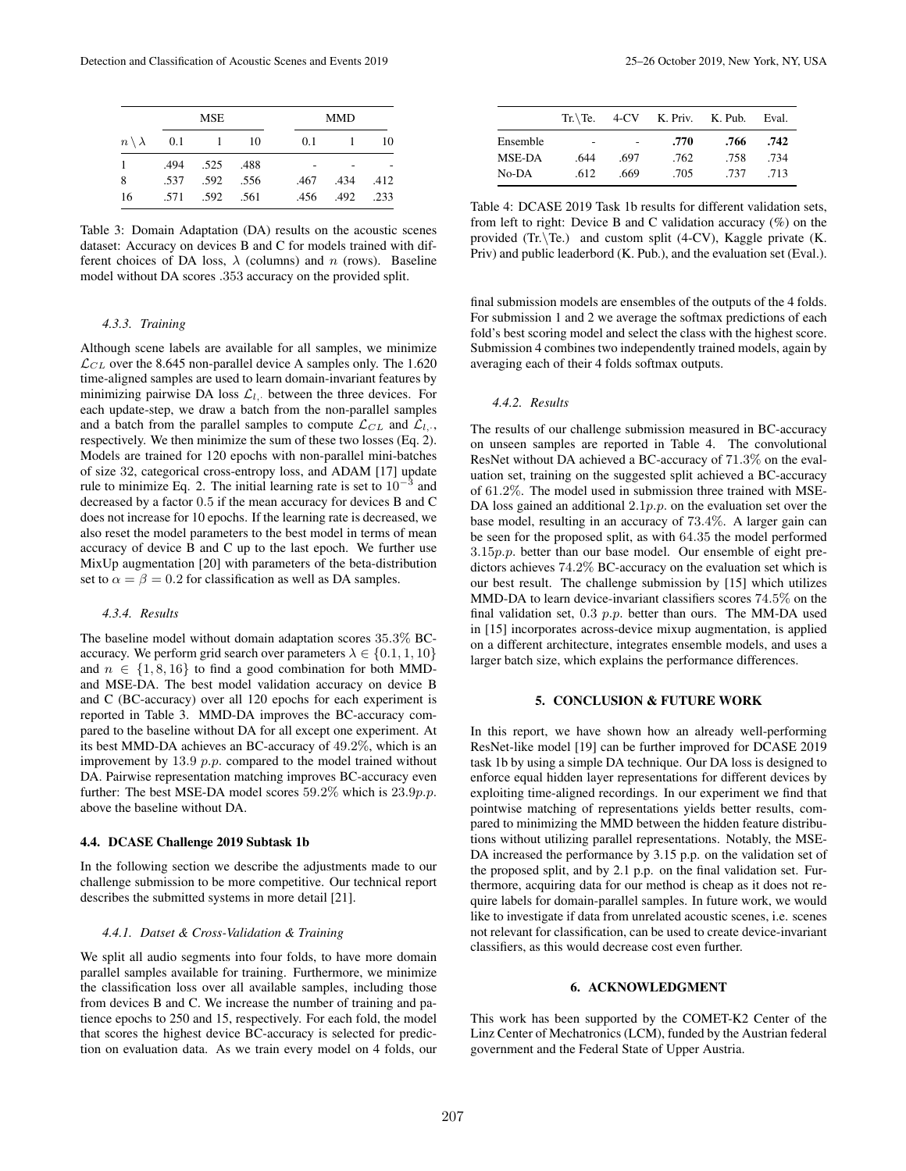|                       |      | <b>MSE</b> |      | <b>MMD</b> |      |      |  |
|-----------------------|------|------------|------|------------|------|------|--|
| $n \setminus \lambda$ | 0.1  |            | 10   | 0.1        |      | 10   |  |
| 1                     | .494 | .525 .488  |      |            |      |      |  |
| 8                     | .537 | .592       | .556 | .467       | .434 | .412 |  |
| 16                    | .571 | .592       | .561 | .456       | .492 | .233 |  |

Table 3: Domain Adaptation (DA) results on the acoustic scenes dataset: Accuracy on devices B and C for models trained with different choices of DA loss,  $\lambda$  (columns) and n (rows). Baseline model without DA scores .353 accuracy on the provided split.

## *4.3.3. Training*

Although scene labels are available for all samples, we minimize  $\mathcal{L}_{CL}$  over the 8.645 non-parallel device A samples only. The 1.620 time-aligned samples are used to learn domain-invariant features by minimizing pairwise DA loss  $\mathcal{L}_{l}$ , between the three devices. For each update-step, we draw a batch from the non-parallel samples and a batch from the parallel samples to compute  $\mathcal{L}_{CL}$  and  $\mathcal{L}_{L}$ . respectively. We then minimize the sum of these two losses (Eq. 2). Models are trained for 120 epochs with non-parallel mini-batches of size 32, categorical cross-entropy loss, and ADAM [17] update rule to minimize Eq. 2. The initial learning rate is set to  $10^{-3}$  and decreased by a factor 0.5 if the mean accuracy for devices B and C does not increase for 10 epochs. If the learning rate is decreased, we also reset the model parameters to the best model in terms of mean accuracy of device B and C up to the last epoch. We further use MixUp augmentation [20] with parameters of the beta-distribution set to  $\alpha = \beta = 0.2$  for classification as well as DA samples.

#### *4.3.4. Results*

The baseline model without domain adaptation scores 35.3% BCaccuracy. We perform grid search over parameters  $\lambda \in \{0.1, 1, 10\}$ and  $n \in \{1, 8, 16\}$  to find a good combination for both MMDand MSE-DA. The best model validation accuracy on device B and C (BC-accuracy) over all 120 epochs for each experiment is reported in Table 3. MMD-DA improves the BC-accuracy compared to the baseline without DA for all except one experiment. At its best MMD-DA achieves an BC-accuracy of 49.2%, which is an improvement by  $13.9$   $p.p.$  compared to the model trained without DA. Pairwise representation matching improves BC-accuracy even further: The best MSE-DA model scores 59.2% which is 23.9*p.p.* above the baseline without DA.

#### 4.4. DCASE Challenge 2019 Subtask 1b

In the following section we describe the adjustments made to our challenge submission to be more competitive. Our technical report describes the submitted systems in more detail [21].

#### *4.4.1. Datset & Cross-Validation & Training*

We split all audio segments into four folds, to have more domain parallel samples available for training. Furthermore, we minimize the classification loss over all available samples, including those from devices B and C. We increase the number of training and patience epochs to 250 and 15, respectively. For each fold, the model that scores the highest device BC-accuracy is selected for prediction on evaluation data. As we train every model on 4 folds, our

|          | $Tr.\$ Te. |      | 4-CV K. Priv. K. Pub. |      | Eval. |
|----------|------------|------|-----------------------|------|-------|
| Ensemble |            |      | .770                  | .766 | .742  |
| MSE-DA   | .644       | .697 | .762                  | .758 | .734  |
| No-DA    | .612       | .669 | .705                  | .737 | .713  |

Table 4: DCASE 2019 Task 1b results for different validation sets, from left to right: Device B and C validation accuracy  $(\%)$  on the provided  $(Tr.\Tilde)$  and custom split (4-CV), Kaggle private (K. Priv) and public leaderbord (K. Pub.), and the evaluation set (Eval.).

final submission models are ensembles of the outputs of the 4 folds. For submission 1 and 2 we average the softmax predictions of each fold's best scoring model and select the class with the highest score. Submission 4 combines two independently trained models, again by averaging each of their 4 folds softmax outputs.

## *4.4.2. Results*

The results of our challenge submission measured in BC-accuracy on unseen samples are reported in Table 4. The convolutional ResNet without DA achieved a BC-accuracy of 71.3% on the evaluation set, training on the suggested split achieved a BC-accuracy of 61.2%. The model used in submission three trained with MSE-DA loss gained an additional  $2.1p.p.$  on the evaluation set over the base model, resulting in an accuracy of 73.4%. A larger gain can be seen for the proposed split, as with 64.35 the model performed  $3.15p.p.$  better than our base model. Our ensemble of eight predictors achieves 74.2% BC-accuracy on the evaluation set which is our best result. The challenge submission by [15] which utilizes MMD-DA to learn device-invariant classifiers scores 74.5% on the final validation set,  $0.3$   $p.p.$  better than ours. The MM-DA used in [15] incorporates across-device mixup augmentation, is applied on a different architecture, integrates ensemble models, and uses a larger batch size, which explains the performance differences.

## 5. CONCLUSION & FUTURE WORK

In this report, we have shown how an already well-performing ResNet-like model [19] can be further improved for DCASE 2019 task 1b by using a simple DA technique. Our DA loss is designed to enforce equal hidden layer representations for different devices by exploiting time-aligned recordings. In our experiment we find that pointwise matching of representations yields better results, compared to minimizing the MMD between the hidden feature distributions without utilizing parallel representations. Notably, the MSE-DA increased the performance by 3.15 p.p. on the validation set of the proposed split, and by 2.1 p.p. on the final validation set. Furthermore, acquiring data for our method is cheap as it does not require labels for domain-parallel samples. In future work, we would like to investigate if data from unrelated acoustic scenes, i.e. scenes not relevant for classification, can be used to create device-invariant classifiers, as this would decrease cost even further.

## 6. ACKNOWLEDGMENT

This work has been supported by the COMET-K2 Center of the Linz Center of Mechatronics (LCM), funded by the Austrian federal government and the Federal State of Upper Austria.